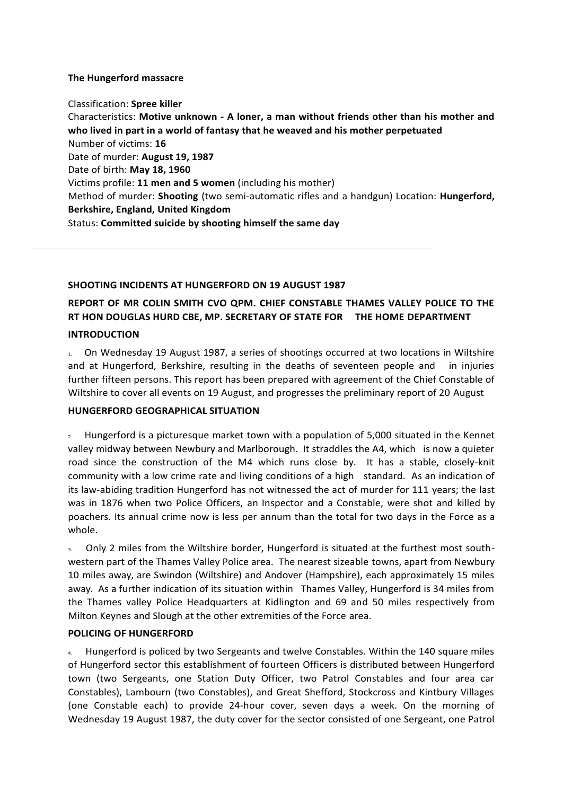## **The Hungerford massacre**

Classification: **Spree killer** Characteristics: **Motive unknown - A loner, a man without friends other than his mother and who lived in part in a world of fantasy that he weaved and his mother perpetuated** Number of victims: **16** Date of murder: **August 19, 1987** Date of birth: **May 18, 1960** Victims profile: **11 men and 5 women** (including his mother) Method of murder: **Shooting** (two semi-automatic rifles and a handgun) Location: **Hungerford, Berkshire, England, United Kingdom** Status: **Committed suicide by shooting himself the same day**

#### **SHOOTING INCIDENTS AT HUNGERFORD ON 19 AUGUST 1987**

# **REPORT OF MR COLIN SMITH CVO QPM. CHIEF CONSTABLE THAMES VALLEY POLICE TO THE RT HON DOUGLAS HURD CBE, MP. SECRETARY OF STATE FOR THE HOME DEPARTMENT**

#### **INTRODUCTION**

1. On Wednesday 19 August 1987, a series of shootings occurred at two locations in Wiltshire and at Hungerford, Berkshire, resulting in the deaths of seventeen people and in injuries further fifteen persons. This report has been prepared with agreement of the Chief Constable of Wiltshire to cover all events on 19 August, and progresses the preliminary report of 20 August

## **HUNGERFORD GEOGRAPHICAL SITUATION**

2. Hungerford is a picturesque market town with a population of 5,000 situated in the Kennet valley midway between Newbury and Marlborough. It straddles the A4, which is now a quieter road since the construction of the M4 which runs close by. It has a stable, closely-knit community with a low crime rate and living conditions of a high standard. As an indication of its law-abiding tradition Hungerford has not witnessed the act of murder for 111 years; the last was in 1876 when two Police Officers, an Inspector and a Constable, were shot and killed by poachers. Its annual crime now is less per annum than the total for two days in the Force as a whole.

3. Only 2 miles from the Wiltshire border, Hungerford is situated at the furthest most southwestern part of the Thames Valley Police area. The nearest sizeable towns, apart from Newbury 10 miles away, are Swindon (Wiltshire) and Andover (Hampshire), each approximately 15 miles away. As a further indication of its situation within Thames Valley, Hungerford is 34 miles from the Thames valley Police Headquarters at Kidlington and 69 and 50 miles respectively from Milton Keynes and Slough at the other extremities of the Force area.

## **POLICING OF HUNGERFORD**

4. Hungerford is policed by two Sergeants and twelve Constables. Within the 140 square miles of Hungerford sector this establishment of fourteen Officers is distributed between Hungerford town (two Sergeants, one Station Duty Officer, two Patrol Constables and four area car Constables), Lambourn (two Constables), and Great Shefford, Stockcross and Kintbury Villages (one Constable each) to provide 24-hour cover, seven days a week. On the morning of Wednesday 19 August 1987, the duty cover for the sector consisted of one Sergeant, one Patrol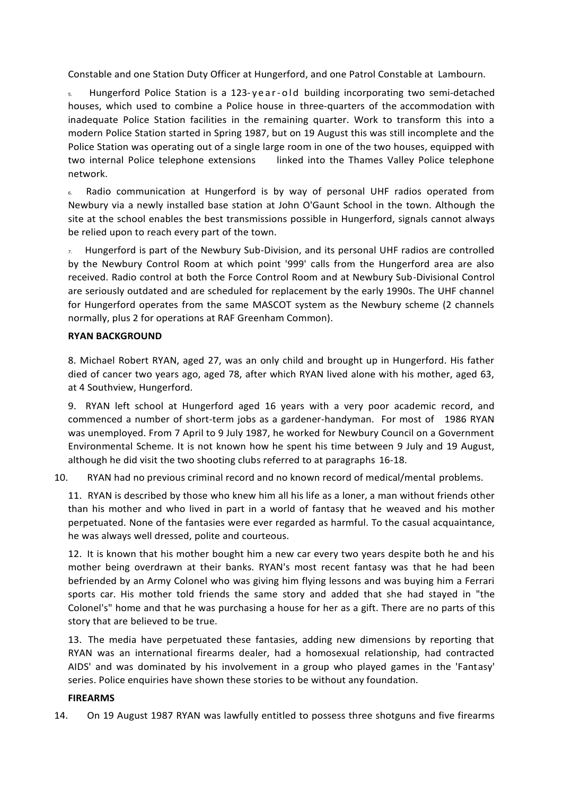Constable and one Station Duty Officer at Hungerford, and one Patrol Constable at Lambourn.

5. Hungerford Police Station is a 123-year-old building incorporating two semi-detached houses, which used to combine a Police house in three-quarters of the accommodation with inadequate Police Station facilities in the remaining quarter. Work to transform this into a modern Police Station started in Spring 1987, but on 19 August this was still incomplete and the Police Station was operating out of a single large room in one of the two houses, equipped with two internal Police telephone extensions linked into the Thames Valley Police telephone network.

6. Radio communication at Hungerford is by way of personal UHF radios operated from Newbury via a newly installed base station at John O'Gaunt School in the town. Although the site at the school enables the best transmissions possible in Hungerford, signals cannot always be relied upon to reach every part of the town.

 $7.$  Hungerford is part of the Newbury Sub-Division, and its personal UHF radios are controlled by the Newbury Control Room at which point '999' calls from the Hungerford area are also received. Radio control at both the Force Control Room and at Newbury Sub-Divisional Control are seriously outdated and are scheduled for replacement by the early 1990s. The UHF channel for Hungerford operates from the same MASCOT system as the Newbury scheme (2 channels normally, plus 2 for operations at RAF Greenham Common).

## **RYAN BACKGROUND**

8. Michael Robert RYAN, aged 27, was an only child and brought up in Hungerford. His father died of cancer two years ago, aged 78, after which RYAN lived alone with his mother, aged 63, at 4 Southview, Hungerford.

9. RYAN left school at Hungerford aged 16 years with a very poor academic record, and commenced a number of short-term jobs as a gardener-handyman. For most of 1986 RYAN was unemployed. From 7 April to 9 July 1987, he worked for Newbury Council on a Government Environmental Scheme. It is not known how he spent his time between 9 July and 19 August, although he did visit the two shooting clubs referred to at paragraphs 16-18.

10. RYAN had no previous criminal record and no known record of medical/mental problems.

11. RYAN is described by those who knew him all his life as a loner, a man without friends other than his mother and who lived in part in a world of fantasy that he weaved and his mother perpetuated. None of the fantasies were ever regarded as harmful. To the casual acquaintance, he was always well dressed, polite and courteous.

12. It is known that his mother bought him a new car every two years despite both he and his mother being overdrawn at their banks. RYAN's most recent fantasy was that he had been befriended by an Army Colonel who was giving him flying lessons and was buying him a Ferrari sports car. His mother told friends the same story and added that she had stayed in "the Colonel's" home and that he was purchasing a house for her as a gift. There are no parts of this story that are believed to be true.

13. The media have perpetuated these fantasies, adding new dimensions by reporting that RYAN was an international firearms dealer, had a homosexual relationship, had contracted AIDS' and was dominated by his involvement in a group who played games in the 'Fantasy' series. Police enquiries have shown these stories to be without any foundation.

## **FIREARMS**

14. On 19 August 1987 RYAN was lawfully entitled to possess three shotguns and five firearms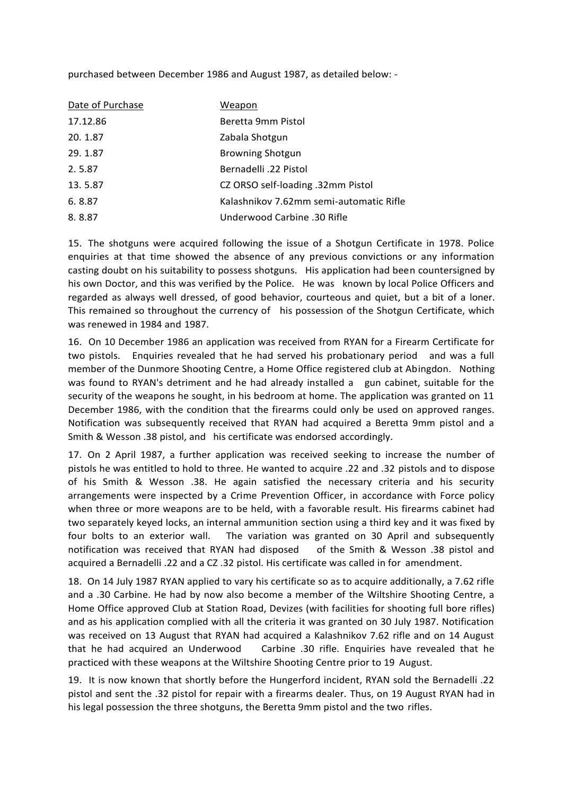purchased between December 1986 and August 1987, as detailed below: -

| Date of Purchase | Weapon                                  |
|------------------|-----------------------------------------|
| 17.12.86         | Beretta 9mm Pistol                      |
| 20.1.87          | Zabala Shotgun                          |
| 29.1.87          | <b>Browning Shotgun</b>                 |
| 2.5.87           | Bernadelli .22 Pistol                   |
| 13.5.87          | CZ ORSO self-loading .32mm Pistol       |
| 6.8.87           | Kalashnikov 7.62mm semi-automatic Rifle |
| 8.8.87           | Underwood Carbine .30 Rifle             |

15. The shotguns were acquired following the issue of a Shotgun Certificate in 1978. Police enquiries at that time showed the absence of any previous convictions or any information casting doubt on his suitability to possess shotguns. His application had been countersigned by his own Doctor, and this was verified by the Police. He was known by local Police Officers and regarded as always well dressed, of good behavior, courteous and quiet, but a bit of a loner. This remained so throughout the currency of his possession of the Shotgun Certificate, which was renewed in 1984 and 1987.

16. On 10 December 1986 an application was received from RYAN for a Firearm Certificate for two pistols. Enquiries revealed that he had served his probationary period and was a full member of the Dunmore Shooting Centre, a Home Office registered club at Abingdon. Nothing was found to RYAN's detriment and he had already installed a gun cabinet, suitable for the security of the weapons he sought, in his bedroom at home. The application was granted on 11 December 1986, with the condition that the firearms could only be used on approved ranges. Notification was subsequently received that RYAN had acquired a Beretta 9mm pistol and a Smith & Wesson .38 pistol, and his certificate was endorsed accordingly.

17. On 2 April 1987, a further application was received seeking to increase the number of pistols he was entitled to hold to three. He wanted to acquire .22 and .32 pistols and to dispose of his Smith & Wesson .38. He again satisfied the necessary criteria and his security arrangements were inspected by a Crime Prevention Officer, in accordance with Force policy when three or more weapons are to be held, with a favorable result. His firearms cabinet had two separately keyed locks, an internal ammunition section using a third key and it was fixed by four bolts to an exterior wall. The variation was granted on 30 April and subsequently notification was received that RYAN had disposed of the Smith & Wesson .38 pistol and acquired a Bernadelli .22 and a CZ .32 pistol. His certificate was called in for amendment.

18. On 14 July 1987 RYAN applied to vary his certificate so as to acquire additionally, a 7.62 rifle and a .30 Carbine. He had by now also become a member of the Wiltshire Shooting Centre, a Home Office approved Club at Station Road, Devizes (with facilities for shooting full bore rifles) and as his application complied with all the criteria it was granted on 30 July 1987. Notification was received on 13 August that RYAN had acquired a Kalashnikov 7.62 rifle and on 14 August that he had acquired an Underwood Carbine .30 rifle. Enquiries have revealed that he practiced with these weapons at the Wiltshire Shooting Centre prior to 19 August.

19. It is now known that shortly before the Hungerford incident, RYAN sold the Bernadelli .22 pistol and sent the .32 pistol for repair with a firearms dealer. Thus, on 19 August RYAN had in his legal possession the three shotguns, the Beretta 9mm pistol and the two rifles.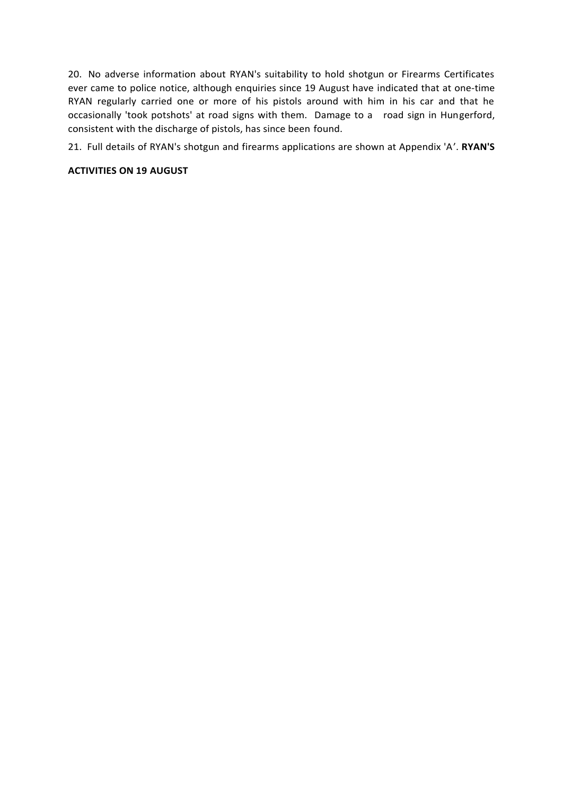20. No adverse information about RYAN's suitability to hold shotgun or Firearms Certificates ever came to police notice, although enquiries since 19 August have indicated that at one-time RYAN regularly carried one or more of his pistols around with him in his car and that he occasionally 'took potshots' at road signs with them. Damage to a road sign in Hungerford, consistent with the discharge of pistols, has since been found.

21. Full details of RYAN's shotgun and firearms applications are shown at Appendix 'A'. **RYAN'S** 

# **ACTIVITIES ON 19 AUGUST**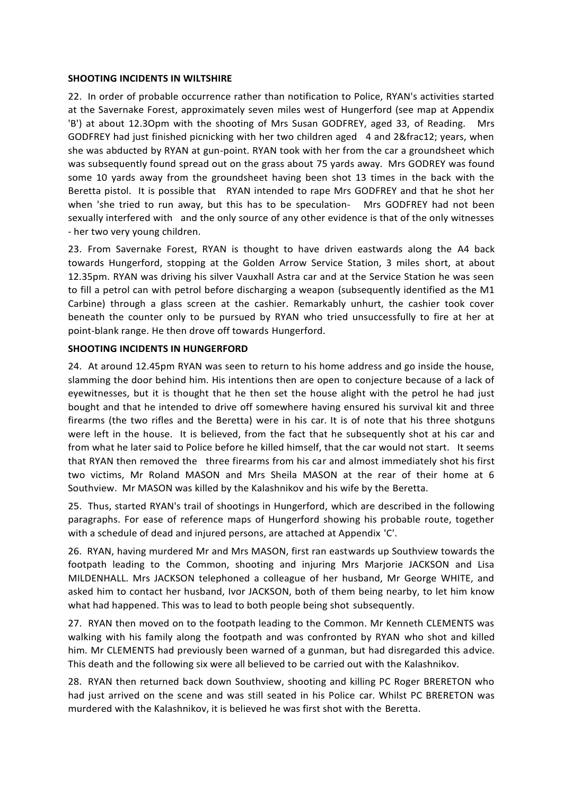### **SHOOTING INCIDENTS IN WILTSHIRE**

22. In order of probable occurrence rather than notification to Police, RYAN's activities started at the Savernake Forest, approximately seven miles west of Hungerford (see map at Appendix 'B') at about 12.3Opm with the shooting of Mrs Susan GODFREY, aged 33, of Reading. Mrs GODFREY had just finished picnicking with her two children aged 4 and 2½ years, when she was abducted by RYAN at gun-point. RYAN took with her from the car a groundsheet which was subsequently found spread out on the grass about 75 yards away. Mrs GODREY was found some 10 yards away from the groundsheet having been shot 13 times in the back with the Beretta pistol. It is possible that RYAN intended to rape Mrs GODFREY and that he shot her when 'she tried to run away, but this has to be speculation- Mrs GODFREY had not been sexually interfered with and the only source of any other evidence is that of the only witnesses - her two very young children.

23. From Savernake Forest, RYAN is thought to have driven eastwards along the A4 back towards Hungerford, stopping at the Golden Arrow Service Station, 3 miles short, at about 12.35pm. RYAN was driving his silver Vauxhall Astra car and at the Service Station he was seen to fill a petrol can with petrol before discharging a weapon (subsequently identified as the M1 Carbine) through a glass screen at the cashier. Remarkably unhurt, the cashier took cover beneath the counter only to be pursued by RYAN who tried unsuccessfully to fire at her at point-blank range. He then drove off towards Hungerford.

## **SHOOTING INCIDENTS IN HUNGERFORD**

24. At around 12.45pm RYAN was seen to return to his home address and go inside the house, slamming the door behind him. His intentions then are open to conjecture because of a lack of eyewitnesses, but it is thought that he then set the house alight with the petrol he had just bought and that he intended to drive off somewhere having ensured his survival kit and three firearms (the two rifles and the Beretta) were in his car. It is of note that his three shotguns were left in the house. It is believed, from the fact that he subsequently shot at his car and from what he later said to Police before he killed himself, that the car would not start. It seems that RYAN then removed the three firearms from his car and almost immediately shot his first two victims, Mr Roland MASON and Mrs Sheila MASON at the rear of their home at 6 Southview. Mr MASON was killed by the Kalashnikov and his wife by the Beretta.

25. Thus, started RYAN's trail of shootings in Hungerford, which are described in the following paragraphs. For ease of reference maps of Hungerford showing his probable route, together with a schedule of dead and injured persons, are attached at Appendix 'C'.

26. RYAN, having murdered Mr and Mrs MASON, first ran eastwards up Southview towards the footpath leading to the Common, shooting and injuring Mrs Marjorie JACKSON and Lisa MILDENHALL. Mrs JACKSON telephoned a colleague of her husband, Mr George WHITE, and asked him to contact her husband, Ivor JACKSON, both of them being nearby, to let him know what had happened. This was to lead to both people being shot subsequently.

27. RYAN then moved on to the footpath leading to the Common. Mr Kenneth CLEMENTS was walking with his family along the footpath and was confronted by RYAN who shot and killed him. Mr CLEMENTS had previously been warned of a gunman, but had disregarded this advice. This death and the following six were all believed to be carried out with the Kalashnikov.

28. RYAN then returned back down Southview, shooting and killing PC Roger BRERETON who had just arrived on the scene and was still seated in his Police car. Whilst PC BRERETON was murdered with the Kalashnikov, it is believed he was first shot with the Beretta.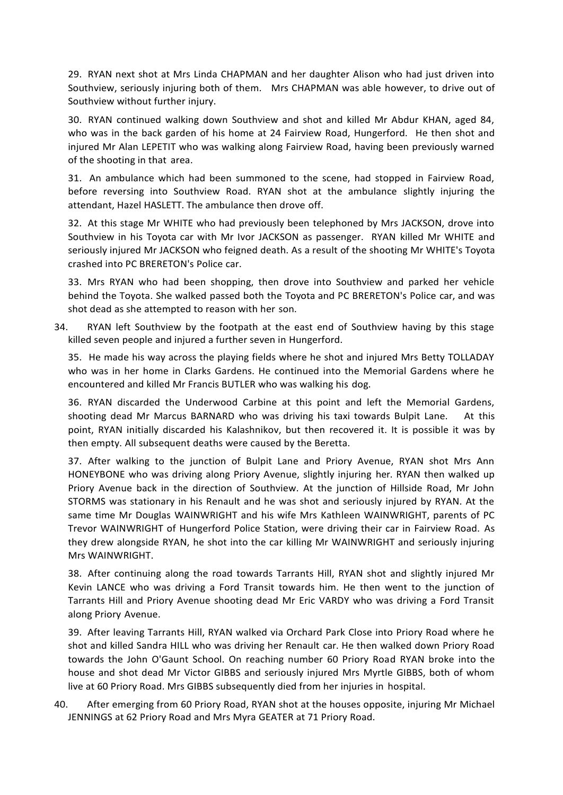29. RYAN next shot at Mrs Linda CHAPMAN and her daughter Alison who had just driven into Southview, seriously injuring both of them. Mrs CHAPMAN was able however, to drive out of Southview without further injury.

30. RYAN continued walking down Southview and shot and killed Mr Abdur KHAN, aged 84, who was in the back garden of his home at 24 Fairview Road, Hungerford. He then shot and injured Mr Alan LEPETIT who was walking along Fairview Road, having been previously warned of the shooting in that area.

31. An ambulance which had been summoned to the scene, had stopped in Fairview Road, before reversing into Southview Road. RYAN shot at the ambulance slightly injuring the attendant, Hazel HASLETT. The ambulance then drove off.

32. At this stage Mr WHITE who had previously been telephoned by Mrs JACKSON, drove into Southview in his Toyota car with Mr Ivor JACKSON as passenger. RYAN killed Mr WHITE and seriously injured Mr JACKSON who feigned death. As a result of the shooting Mr WHITE's Toyota crashed into PC BRERETON's Police car.

33. Mrs RYAN who had been shopping, then drove into Southview and parked her vehicle behind the Toyota. She walked passed both the Toyota and PC BRERETON's Police car, and was shot dead as she attempted to reason with her son.

34. RYAN left Southview by the footpath at the east end of Southview having by this stage killed seven people and injured a further seven in Hungerford.

35. He made his way across the playing fields where he shot and injured Mrs Betty TOLLADAY who was in her home in Clarks Gardens. He continued into the Memorial Gardens where he encountered and killed Mr Francis BUTLER who was walking his dog.

36. RYAN discarded the Underwood Carbine at this point and left the Memorial Gardens, shooting dead Mr Marcus BARNARD who was driving his taxi towards Bulpit Lane. At this point, RYAN initially discarded his Kalashnikov, but then recovered it. It is possible it was by then empty. All subsequent deaths were caused by the Beretta.

37. After walking to the junction of Bulpit Lane and Priory Avenue, RYAN shot Mrs Ann HONEYBONE who was driving along Priory Avenue, slightly injuring her. RYAN then walked up Priory Avenue back in the direction of Southview. At the junction of Hillside Road, Mr John STORMS was stationary in his Renault and he was shot and seriously injured by RYAN. At the same time Mr Douglas WAINWRIGHT and his wife Mrs Kathleen WAINWRIGHT, parents of PC Trevor WAINWRIGHT of Hungerford Police Station, were driving their car in Fairview Road. As they drew alongside RYAN, he shot into the car killing Mr WAINWRIGHT and seriously injuring Mrs WAINWRIGHT.

38. After continuing along the road towards Tarrants Hill, RYAN shot and slightly injured Mr Kevin LANCE who was driving a Ford Transit towards him. He then went to the junction of Tarrants Hill and Priory Avenue shooting dead Mr Eric VARDY who was driving a Ford Transit along Priory Avenue.

39. After leaving Tarrants Hill, RYAN walked via Orchard Park Close into Priory Road where he shot and killed Sandra HILL who was driving her Renault car. He then walked down Priory Road towards the John O'Gaunt School. On reaching number 60 Priory Road RYAN broke into the house and shot dead Mr Victor GIBBS and seriously injured Mrs Myrtle GIBBS, both of whom live at 60 Priory Road. Mrs GIBBS subsequently died from her injuries in hospital.

40. After emerging from 60 Priory Road, RYAN shot at the houses opposite, injuring Mr Michael JENNINGS at 62 Priory Road and Mrs Myra GEATER at 71 Priory Road.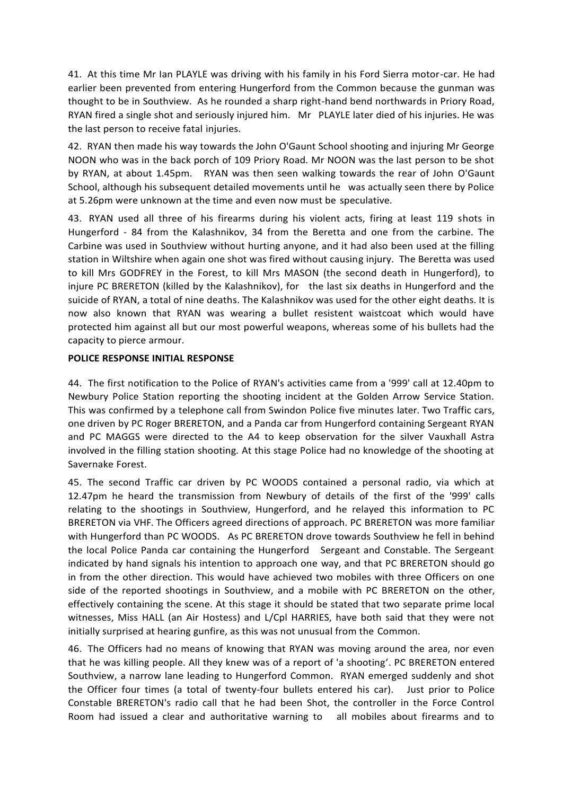41. At this time Mr Ian PLAYLE was driving with his family in his Ford Sierra motor-car. He had earlier been prevented from entering Hungerford from the Common because the gunman was thought to be in Southview. As he rounded a sharp right-hand bend northwards in Priory Road, RYAN fired a single shot and seriously injured him. Mr PLAYLE later died of his injuries. He was the last person to receive fatal injuries.

42. RYAN then made his way towards the John O'Gaunt School shooting and injuring Mr George NOON who was in the back porch of 109 Priory Road. Mr NOON was the last person to be shot by RYAN, at about 1.45pm. RYAN was then seen walking towards the rear of John O'Gaunt School, although his subsequent detailed movements until he was actually seen there by Police at 5.26pm were unknown at the time and even now must be speculative.

43. RYAN used all three of his firearms during his violent acts, firing at least 119 shots in Hungerford - 84 from the Kalashnikov, 34 from the Beretta and one from the carbine. The Carbine was used in Southview without hurting anyone, and it had also been used at the filling station in Wiltshire when again one shot was fired without causing injury. The Beretta was used to kill Mrs GODFREY in the Forest, to kill Mrs MASON (the second death in Hungerford), to injure PC BRERETON (killed by the Kalashnikov), for the last six deaths in Hungerford and the suicide of RYAN, a total of nine deaths. The Kalashnikov was used for the other eight deaths. It is now also known that RYAN was wearing a bullet resistent waistcoat which would have protected him against all but our most powerful weapons, whereas some of his bullets had the capacity to pierce armour.

# **POLICE RESPONSE INITIAL RESPONSE**

44. The first notification to the Police of RYAN's activities came from a '999' call at 12.40pm to Newbury Police Station reporting the shooting incident at the Golden Arrow Service Station. This was confirmed by a telephone call from Swindon Police five minutes later. Two Traffic cars, one driven by PC Roger BRERETON, and a Panda car from Hungerford containing Sergeant RYAN and PC MAGGS were directed to the A4 to keep observation for the silver Vauxhall Astra involved in the filling station shooting. At this stage Police had no knowledge of the shooting at Savernake Forest.

45. The second Traffic car driven by PC WOODS contained a personal radio, via which at 12.47pm he heard the transmission from Newbury of details of the first of the '999' calls relating to the shootings in Southview, Hungerford, and he relayed this information to PC BRERETON via VHF. The Officers agreed directions of approach. PC BRERETON was more familiar with Hungerford than PC WOODS. As PC BRERETON drove towards Southview he fell in behind the local Police Panda car containing the Hungerford Sergeant and Constable. The Sergeant indicated by hand signals his intention to approach one way, and that PC BRERETON should go in from the other direction. This would have achieved two mobiles with three Officers on one side of the reported shootings in Southview, and a mobile with PC BRERETON on the other, effectively containing the scene. At this stage it should be stated that two separate prime local witnesses, Miss HALL (an Air Hostess) and L/Cpl HARRIES, have both said that they were not initially surprised at hearing gunfire, as this was not unusual from the Common.

46. The Officers had no means of knowing that RYAN was moving around the area, nor even that he was killing people. All they knew was of a report of 'a shooting'. PC BRERETON entered Southview, a narrow lane leading to Hungerford Common. RYAN emerged suddenly and shot the Officer four times (a total of twenty-four bullets entered his car). Just prior to Police Constable BRERETON's radio call that he had been Shot, the controller in the Force Control Room had issued a clear and authoritative warning to all mobiles about firearms and to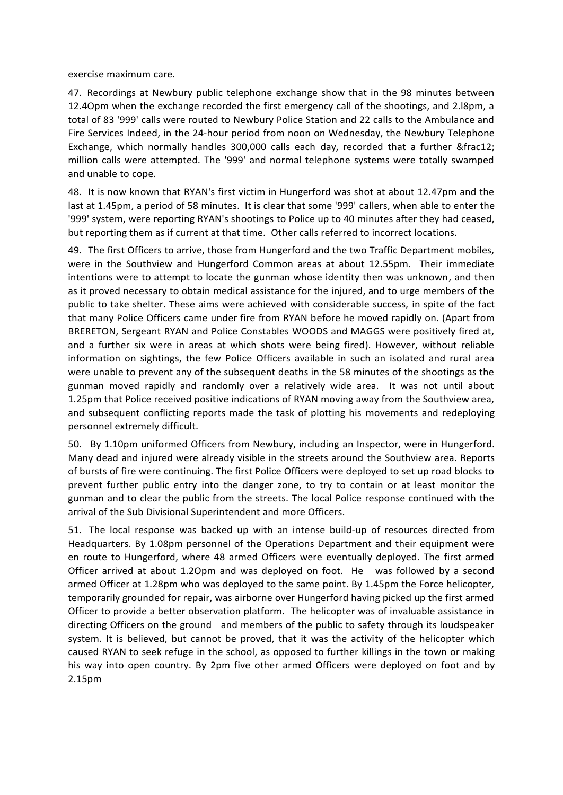exercise maximum care.

47. Recordings at Newbury public telephone exchange show that in the 98 minutes between 12.4Opm when the exchange recorded the first emergency call of the shootings, and 2.l8pm, a total of 83 '999' calls were routed to Newbury Police Station and 22 calls to the Ambulance and Fire Services Indeed, in the 24-hour period from noon on Wednesday, the Newbury Telephone Exchange, which normally handles 300,000 calls each day, recorded that a further ½ million calls were attempted. The '999' and normal telephone systems were totally swamped and unable to cope.

48. It is now known that RYAN's first victim in Hungerford was shot at about 12.47pm and the last at 1.45pm, a period of 58 minutes. It is clear that some '999' callers, when able to enter the '999' system, were reporting RYAN's shootings to Police up to 40 minutes after they had ceased, but reporting them as if current at that time. Other calls referred to incorrect locations.

49. The first Officers to arrive, those from Hungerford and the two Traffic Department mobiles, were in the Southview and Hungerford Common areas at about 12.55pm. Their immediate intentions were to attempt to locate the gunman whose identity then was unknown, and then as it proved necessary to obtain medical assistance for the injured, and to urge members of the public to take shelter. These aims were achieved with considerable success, in spite of the fact that many Police Officers came under fire from RYAN before he moved rapidly on. (Apart from BRERETON, Sergeant RYAN and Police Constables WOODS and MAGGS were positively fired at, and a further six were in areas at which shots were being fired). However, without reliable information on sightings, the few Police Officers available in such an isolated and rural area were unable to prevent any of the subsequent deaths in the 58 minutes of the shootings as the gunman moved rapidly and randomly over a relatively wide area. It was not until about 1.25pm that Police received positive indications of RYAN moving away from the Southview area, and subsequent conflicting reports made the task of plotting his movements and redeploying personnel extremely difficult.

50. By 1.10pm uniformed Officers from Newbury, including an Inspector, were in Hungerford. Many dead and injured were already visible in the streets around the Southview area. Reports of bursts of fire were continuing. The first Police Officers were deployed to set up road blocks to prevent further public entry into the danger zone, to try to contain or at least monitor the gunman and to clear the public from the streets. The local Police response continued with the arrival of the Sub Divisional Superintendent and more Officers.

51. The local response was backed up with an intense build-up of resources directed from Headquarters. By 1.08pm personnel of the Operations Department and their equipment were en route to Hungerford, where 48 armed Officers were eventually deployed. The first armed Officer arrived at about 1.2Opm and was deployed on foot. He was followed by a second armed Officer at 1.28pm who was deployed to the same point. By 1.45pm the Force helicopter, temporarily grounded for repair, was airborne over Hungerford having picked up the first armed Officer to provide a better observation platform. The helicopter was of invaluable assistance in directing Officers on the ground and members of the public to safety through its loudspeaker system. It is believed, but cannot be proved, that it was the activity of the helicopter which caused RYAN to seek refuge in the school, as opposed to further killings in the town or making his way into open country. By 2pm five other armed Officers were deployed on foot and by 2.15pm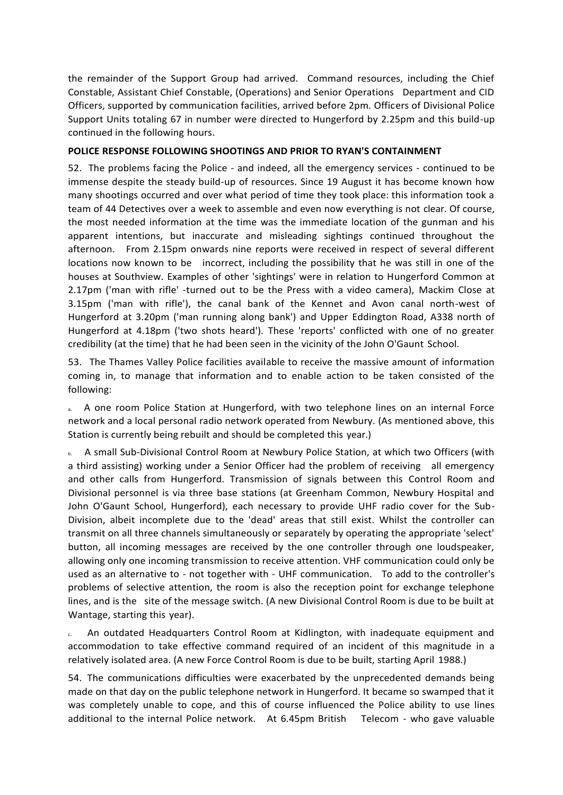the remainder of the Support Group had arrived. Command resources, including the Chief Constable, Assistant Chief Constable, (Operations) and Senior Operations Department and CID Officers, supported by communication facilities, arrived before 2pm. Officers of Divisional Police Support Units totaling 67 in number were directed to Hungerford by 2.25pm and this build-up continued in the following hours.

# **POLICE RESPONSE FOLLOWING SHOOTINGS AND PRIOR TO RYAN'S CONTAINMENT**

52. The problems facing the Police - and indeed, all the emergency services - continued to be immense despite the steady build-up of resources. Since 19 August it has become known how many shootings occurred and over what period of time they took place: this information took a team of 44 Detectives over a week to assemble and even now everything is not clear. Of course, the most needed information at the time was the immediate location of the gunman and his apparent intentions, but inaccurate and misleading sightings continued throughout the afternoon. From 2.15pm onwards nine reports were received in respect of several different locations now known to be incorrect, including the possibility that he was still in one of the houses at Southview. Examples of other 'sightings' were in relation to Hungerford Common at 2.17pm ('man with rifle' -turned out to be the Press with a video camera), Mackim Close at 3.15pm ('man with rifle'), the canal bank of the Kennet and Avon canal north-west of Hungerford at 3.20pm ('man running along bank') and Upper Eddington Road, A338 north of Hungerford at 4.18pm ('two shots heard'). These 'reports' conflicted with one of no greater credibility (at the time) that he had been seen in the vicinity of the John O'Gaunt School.

53. The Thames Valley Police facilities available to receive the massive amount of information coming in, to manage that information and to enable action to be taken consisted of the following:

a. A one room Police Station at Hungerford, with two telephone lines on an internal Force network and a local personal radio network operated from Newbury. (As mentioned above, this Station is currently being rebuilt and should be completed this year.)

b. A small Sub-Divisional Control Room at Newbury Police Station, at which two Officers (with a third assisting) working under a Senior Officer had the problem of receiving all emergency and other calls from Hungerford. Transmission of signals between this Control Room and Divisional personnel is via three base stations (at Greenham Common, Newbury Hospital and John O'Gaunt School, Hungerford), each necessary to provide UHF radio cover for the Sub-Division, albeit incomplete due to the 'dead' areas that still exist. Whilst the controller can transmit on all three channels simultaneously or separately by operating the appropriate 'select' button, all incoming messages are received by the one controller through one loudspeaker, allowing only one incoming transmission to receive attention. VHF communication could only be used as an alternative to - not together with - UHF communication. To add to the controller's problems of selective attention, the room is also the reception point for exchange telephone lines, and is the site of the message switch. (A new Divisional Control Room is due to be built at Wantage, starting this year).

c. An outdated Headquarters Control Room at Kidlington, with inadequate equipment and accommodation to take effective command required of an incident of this magnitude in a relatively isolated area. (A new Force Control Room is due to be built, starting April 1988.)

54. The communications difficulties were exacerbated by the unprecedented demands being made on that day on the public telephone network in Hungerford. It became so swamped that it was completely unable to cope, and this of course influenced the Police ability to use lines additional to the internal Police network. At 6.45pm British Telecom - who gave valuable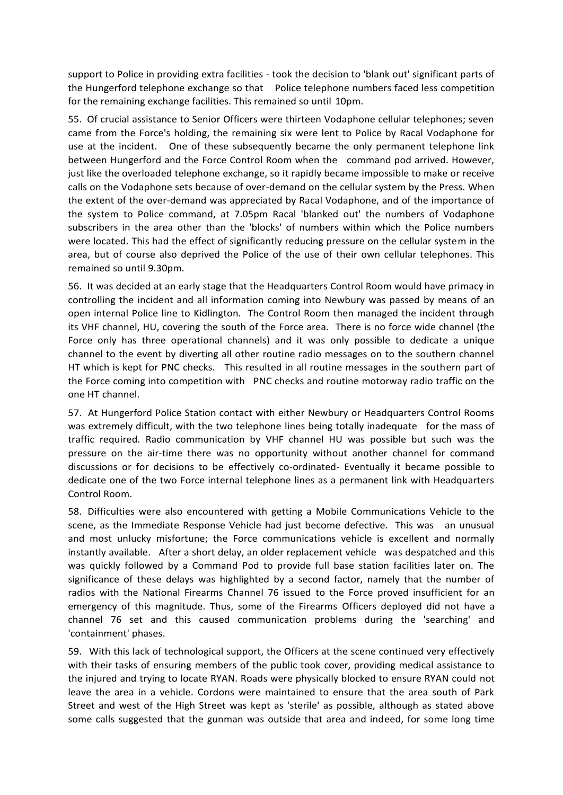support to Police in providing extra facilities - took the decision to 'blank out' significant parts of the Hungerford telephone exchange so that Police telephone numbers faced less competition for the remaining exchange facilities. This remained so until 10pm.

55. Of crucial assistance to Senior Officers were thirteen Vodaphone cellular telephones; seven came from the Force's holding, the remaining six were lent to Police by Racal Vodaphone for use at the incident. One of these subsequently became the only permanent telephone link between Hungerford and the Force Control Room when the command pod arrived. However, just like the overloaded telephone exchange, so it rapidly became impossible to make or receive calls on the Vodaphone sets because of over-demand on the cellular system by the Press. When the extent of the over-demand was appreciated by Racal Vodaphone, and of the importance of the system to Police command, at 7.05pm Racal 'blanked out' the numbers of Vodaphone subscribers in the area other than the 'blocks' of numbers within which the Police numbers were located. This had the effect of significantly reducing pressure on the cellular system in the area, but of course also deprived the Police of the use of their own cellular telephones. This remained so until 9.30pm.

56. It was decided at an early stage that the Headquarters Control Room would have primacy in controlling the incident and all information coming into Newbury was passed by means of an open internal Police line to Kidlington. The Control Room then managed the incident through its VHF channel, HU, covering the south of the Force area. There is no force wide channel (the Force only has three operational channels) and it was only possible to dedicate a unique channel to the event by diverting all other routine radio messages on to the southern channel HT which is kept for PNC checks. This resulted in all routine messages in the southern part of the Force coming into competition with PNC checks and routine motorway radio traffic on the one HT channel.

57. At Hungerford Police Station contact with either Newbury or Headquarters Control Rooms was extremely difficult, with the two telephone lines being totally inadequate for the mass of traffic required. Radio communication by VHF channel HU was possible but such was the pressure on the air-time there was no opportunity without another channel for command discussions or for decisions to be effectively co-ordinated- Eventually it became possible to dedicate one of the two Force internal telephone lines as a permanent link with Headquarters Control Room.

58. Difficulties were also encountered with getting a Mobile Communications Vehicle to the scene, as the Immediate Response Vehicle had just become defective. This was an unusual and most unlucky misfortune; the Force communications vehicle is excellent and normally instantly available. After a short delay, an older replacement vehicle was despatched and this was quickly followed by a Command Pod to provide full base station facilities later on. The significance of these delays was highlighted by a second factor, namely that the number of radios with the National Firearms Channel 76 issued to the Force proved insufficient for an emergency of this magnitude. Thus, some of the Firearms Officers deployed did not have a channel 76 set and this caused communication problems during the 'searching' and 'containment' phases.

59. With this lack of technological support, the Officers at the scene continued very effectively with their tasks of ensuring members of the public took cover, providing medical assistance to the injured and trying to locate RYAN. Roads were physically blocked to ensure RYAN could not leave the area in a vehicle. Cordons were maintained to ensure that the area south of Park Street and west of the High Street was kept as 'sterile' as possible, although as stated above some calls suggested that the gunman was outside that area and indeed, for some long time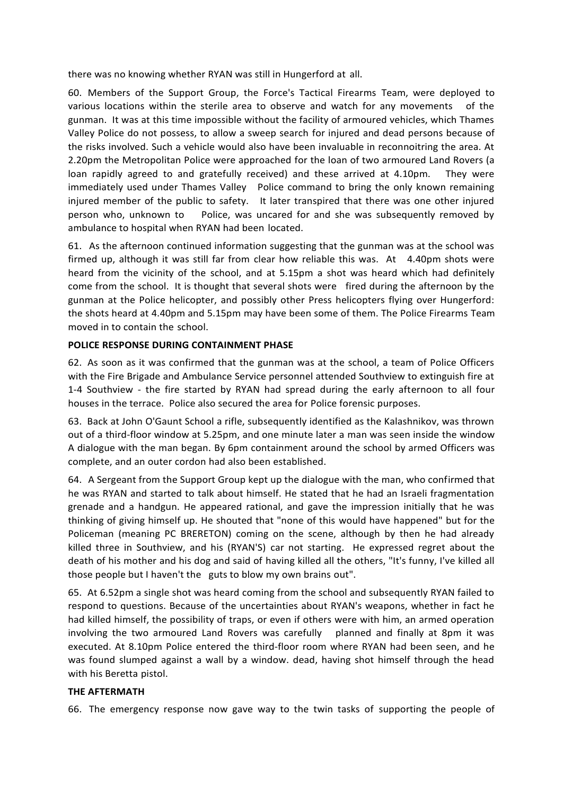there was no knowing whether RYAN was still in Hungerford at all.

60. Members of the Support Group, the Force's Tactical Firearms Team, were deployed to various locations within the sterile area to observe and watch for any movements of the gunman. It was at this time impossible without the facility of armoured vehicles, which Thames Valley Police do not possess, to allow a sweep search for injured and dead persons because of the risks involved. Such a vehicle would also have been invaluable in reconnoitring the area. At 2.20pm the Metropolitan Police were approached for the loan of two armoured Land Rovers (a loan rapidly agreed to and gratefully received) and these arrived at 4.10pm. They were immediately used under Thames Valley Police command to bring the only known remaining injured member of the public to safety. It later transpired that there was one other injured person who, unknown to Police, was uncared for and she was subsequently removed by ambulance to hospital when RYAN had been located.

61. As the afternoon continued information suggesting that the gunman was at the school was firmed up, although it was still far from clear how reliable this was. At 4.40pm shots were heard from the vicinity of the school, and at 5.15pm a shot was heard which had definitely come from the school. It is thought that several shots were fired during the afternoon by the gunman at the Police helicopter, and possibly other Press helicopters flying over Hungerford: the shots heard at 4.40pm and 5.15pm may have been some of them. The Police Firearms Team moved in to contain the school.

# **POLICE RESPONSE DURING CONTAINMENT PHASE**

62. As soon as it was confirmed that the gunman was at the school, a team of Police Officers with the Fire Brigade and Ambulance Service personnel attended Southview to extinguish fire at 1-4 Southview - the fire started by RYAN had spread during the early afternoon to all four houses in the terrace. Police also secured the area for Police forensic purposes.

63. Back at John O'Gaunt School a rifle, subsequently identified as the Kalashnikov, was thrown out of a third-floor window at 5.25pm, and one minute later a man was seen inside the window A dialogue with the man began. By 6pm containment around the school by armed Officers was complete, and an outer cordon had also been established.

64. A Sergeant from the Support Group kept up the dialogue with the man, who confirmed that he was RYAN and started to talk about himself. He stated that he had an Israeli fragmentation grenade and a handgun. He appeared rational, and gave the impression initially that he was thinking of giving himself up. He shouted that "none of this would have happened" but for the Policeman (meaning PC BRERETON) coming on the scene, although by then he had already killed three in Southview, and his (RYAN'S) car not starting. He expressed regret about the death of his mother and his dog and said of having killed all the others, "It's funny, I've killed all those people but I haven't the guts to blow my own brains out".

65. At 6.52pm a single shot was heard coming from the school and subsequently RYAN failed to respond to questions. Because of the uncertainties about RYAN's weapons, whether in fact he had killed himself, the possibility of traps, or even if others were with him, an armed operation involving the two armoured Land Rovers was carefully planned and finally at 8pm it was executed. At 8.10pm Police entered the third-floor room where RYAN had been seen, and he was found slumped against a wall by a window. dead, having shot himself through the head with his Beretta pistol.

## **THE AFTERMATH**

66. The emergency response now gave way to the twin tasks of supporting the people of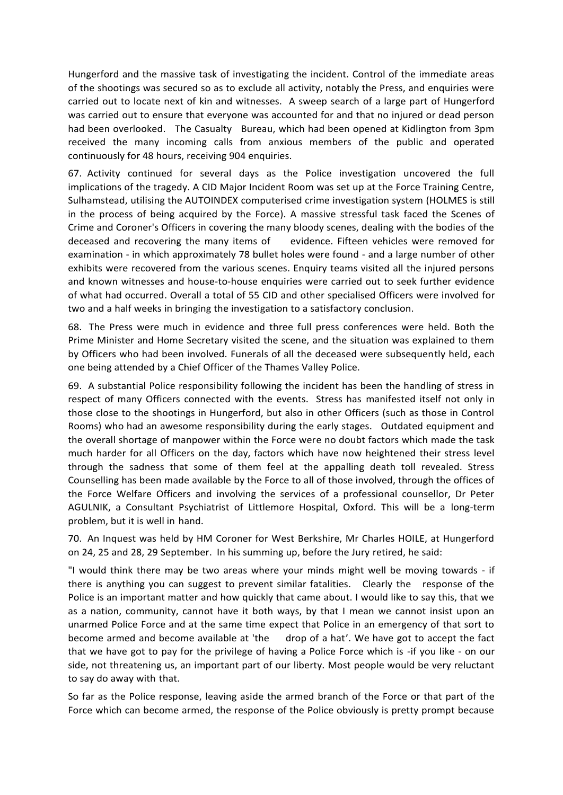Hungerford and the massive task of investigating the incident. Control of the immediate areas of the shootings was secured so as to exclude all activity, notably the Press, and enquiries were carried out to locate next of kin and witnesses. A sweep search of a large part of Hungerford was carried out to ensure that everyone was accounted for and that no injured or dead person had been overlooked. The Casualty Bureau, which had been opened at Kidlington from 3pm received the many incoming calls from anxious members of the public and operated continuously for 48 hours, receiving 904 enquiries.

67. Activity continued for several days as the Police investigation uncovered the full implications of the tragedy. A CID Major Incident Room was set up at the Force Training Centre, Sulhamstead, utilising the AUTOINDEX computerised crime investigation system (HOLMES is still in the process of being acquired by the Force). A massive stressful task faced the Scenes of Crime and Coroner's Officers in covering the many bloody scenes, dealing with the bodies of the deceased and recovering the many items of evidence. Fifteen vehicles were removed for examination - in which approximately 78 bullet holes were found - and a large number of other exhibits were recovered from the various scenes. Enquiry teams visited all the injured persons and known witnesses and house-to-house enquiries were carried out to seek further evidence of what had occurred. Overall a total of 55 CID and other specialised Officers were involved for two and a half weeks in bringing the investigation to a satisfactory conclusion.

68. The Press were much in evidence and three full press conferences were held. Both the Prime Minister and Home Secretary visited the scene, and the situation was explained to them by Officers who had been involved. Funerals of all the deceased were subsequently held, each one being attended by a Chief Officer of the Thames Valley Police.

69. A substantial Police responsibility following the incident has been the handling of stress in respect of many Officers connected with the events. Stress has manifested itself not only in those close to the shootings in Hungerford, but also in other Officers (such as those in Control Rooms) who had an awesome responsibility during the early stages. Outdated equipment and the overall shortage of manpower within the Force were no doubt factors which made the task much harder for all Officers on the day, factors which have now heightened their stress level through the sadness that some of them feel at the appalling death toll revealed. Stress Counselling has been made available by the Force to all of those involved, through the offices of the Force Welfare Officers and involving the services of a professional counsellor, Dr Peter AGULNIK, a Consultant Psychiatrist of Littlemore Hospital, Oxford. This will be a long-term problem, but it is well in hand.

70. An Inquest was held by HM Coroner for West Berkshire, Mr Charles HOILE, at Hungerford on 24, 25 and 28, 29 September. In his summing up, before the Jury retired, he said:

"I would think there may be two areas where your minds might well be moving towards - if there is anything you can suggest to prevent similar fatalities. Clearly the response of the Police is an important matter and how quickly that came about. I would like to say this, that we as a nation, community, cannot have it both ways, by that I mean we cannot insist upon an unarmed Police Force and at the same time expect that Police in an emergency of that sort to become armed and become available at 'the drop of a hat'. We have got to accept the fact that we have got to pay for the privilege of having a Police Force which is -if you like - on our side, not threatening us, an important part of our liberty. Most people would be very reluctant to say do away with that.

So far as the Police response, leaving aside the armed branch of the Force or that part of the Force which can become armed, the response of the Police obviously is pretty prompt because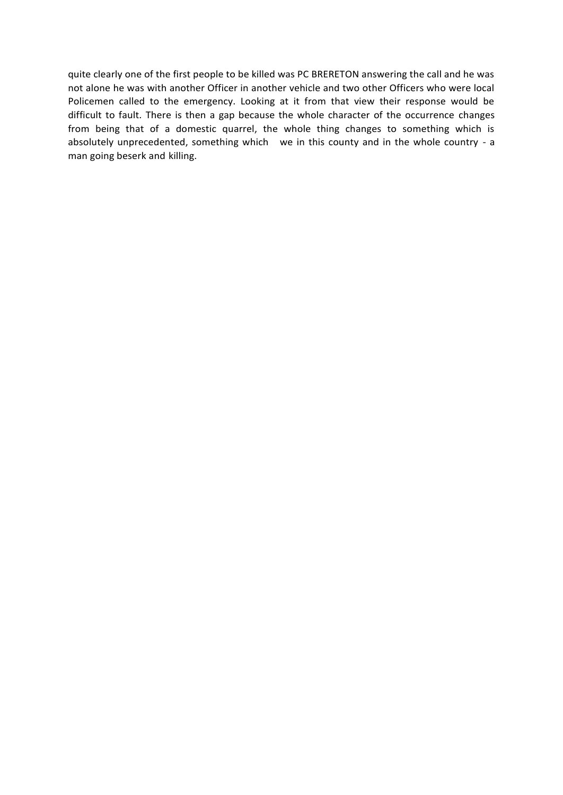quite clearly one of the first people to be killed was PC BRERETON answering the call and he was not alone he was with another Officer in another vehicle and two other Officers who were local Policemen called to the emergency. Looking at it from that view their response would be difficult to fault. There is then a gap because the whole character of the occurrence changes from being that of a domestic quarrel, the whole thing changes to something which is absolutely unprecedented, something which we in this county and in the whole country - a man going beserk and killing.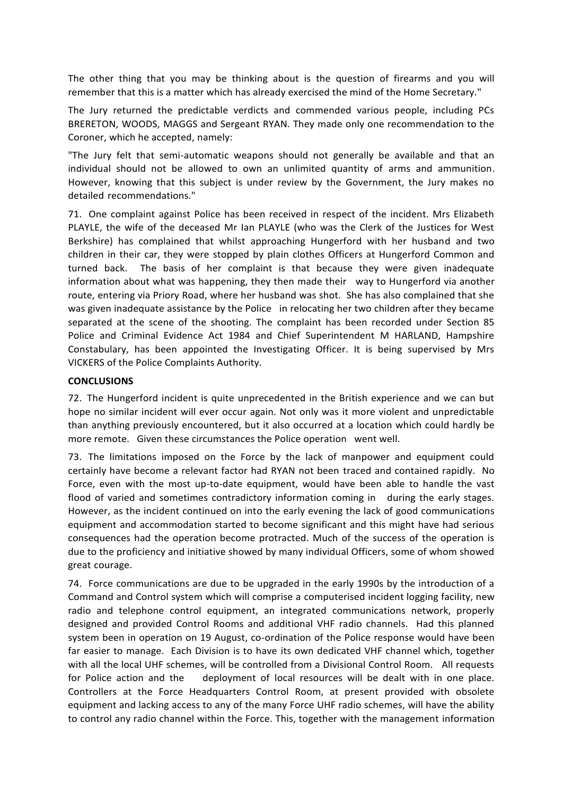The other thing that you may be thinking about is the question of firearms and you will remember that this is a matter which has already exercised the mind of the Home Secretary."

The Jury returned the predictable verdicts and commended various people, including PCs BRERETON, WOODS, MAGGS and Sergeant RYAN. They made only one recommendation to the Coroner, which he accepted, namely:

"The Jury felt that semi-automatic weapons should not generally be available and that an individual should not be allowed to own an unlimited quantity of arms and ammunition. However, knowing that this subject is under review by the Government, the Jury makes no detailed recommendations."

71. One complaint against Police has been received in respect of the incident. Mrs Elizabeth PLAYLE, the wife of the deceased Mr Ian PLAYLE (who was the Clerk of the Justices for West Berkshire) has complained that whilst approaching Hungerford with her husband and two children in their car, they were stopped by plain clothes Officers at Hungerford Common and turned back. The basis of her complaint is that because they were given inadequate information about what was happening, they then made their way to Hungerford via another route, entering via Priory Road, where her husband was shot. She has also complained that she was given inadequate assistance by the Police in relocating her two children after they became separated at the scene of the shooting. The complaint has been recorded under Section 85 Police and Criminal Evidence Act 1984 and Chief Superintendent M HARLAND, Hampshire Constabulary, has been appointed the Investigating Officer. It is being supervised by Mrs VICKERS of the Police Complaints Authority.

## **CONCLUSIONS**

72. The Hungerford incident is quite unprecedented in the British experience and we can but hope no similar incident will ever occur again. Not only was it more violent and unpredictable than anything previously encountered, but it also occurred at a location which could hardly be more remote. Given these circumstances the Police operation went well.

73. The limitations imposed on the Force by the lack of manpower and equipment could certainly have become a relevant factor had RYAN not been traced and contained rapidly. No Force, even with the most up-to-date equipment, would have been able to handle the vast flood of varied and sometimes contradictory information coming in during the early stages. However, as the incident continued on into the early evening the lack of good communications equipment and accommodation started to become significant and this might have had serious consequences had the operation become protracted. Much of the success of the operation is due to the proficiency and initiative showed by many individual Officers, some of whom showed great courage.

74. Force communications are due to be upgraded in the early 1990s by the introduction of a Command and Control system which will comprise a computerised incident logging facility, new radio and telephone control equipment, an integrated communications network, properly designed and provided Control Rooms and additional VHF radio channels. Had this planned system been in operation on 19 August, co-ordination of the Police response would have been far easier to manage. Each Division is to have its own dedicated VHF channel which, together with all the local UHF schemes, will be controlled from a Divisional Control Room. All requests for Police action and the deployment of local resources will be dealt with in one place. Controllers at the Force Headquarters Control Room, at present provided with obsolete equipment and lacking access to any of the many Force UHF radio schemes, will have the ability to control any radio channel within the Force. This, together with the management information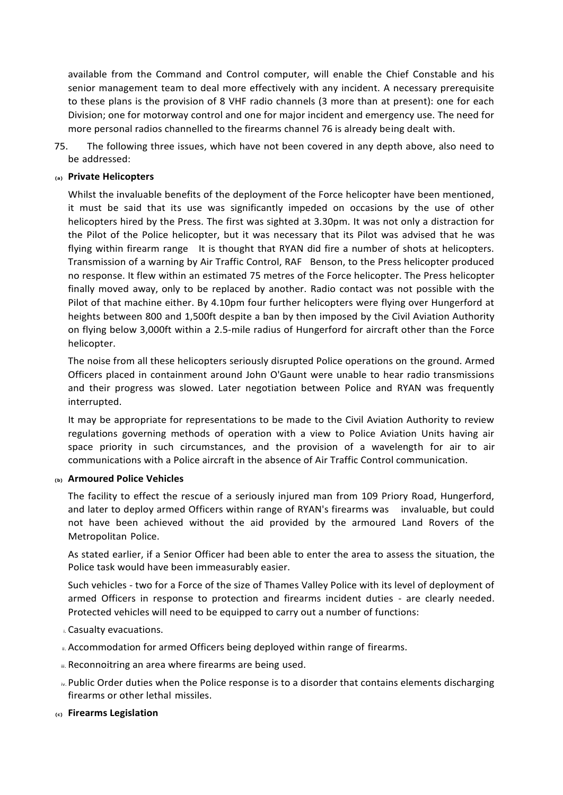available from the Command and Control computer, will enable the Chief Constable and his senior management team to deal more effectively with any incident. A necessary prerequisite to these plans is the provision of 8 VHF radio channels (3 more than at present): one for each Division; one for motorway control and one for major incident and emergency use. The need for more personal radios channelled to the firearms channel 76 is already being dealt with.

75. The following three issues, which have not been covered in any depth above, also need to be addressed:

### **(a) Private Helicopters**

Whilst the invaluable benefits of the deployment of the Force helicopter have been mentioned, it must be said that its use was significantly impeded on occasions by the use of other helicopters hired by the Press. The first was sighted at 3.30pm. It was not only a distraction for the Pilot of the Police helicopter, but it was necessary that its Pilot was advised that he was flying within firearm range It is thought that RYAN did fire a number of shots at helicopters. Transmission of a warning by Air Traffic Control, RAF Benson, to the Press helicopter produced no response. It flew within an estimated 75 metres of the Force helicopter. The Press helicopter finally moved away, only to be replaced by another. Radio contact was not possible with the Pilot of that machine either. By 4.10pm four further helicopters were flying over Hungerford at heights between 800 and 1,500ft despite a ban by then imposed by the Civil Aviation Authority on flying below 3,000ft within a 2.5-mile radius of Hungerford for aircraft other than the Force helicopter.

The noise from all these helicopters seriously disrupted Police operations on the ground. Armed Officers placed in containment around John O'Gaunt were unable to hear radio transmissions and their progress was slowed. Later negotiation between Police and RYAN was frequently interrupted.

It may be appropriate for representations to be made to the Civil Aviation Authority to review regulations governing methods of operation with a view to Police Aviation Units having air space priority in such circumstances, and the provision of a wavelength for air to air communications with a Police aircraft in the absence of Air Traffic Control communication.

#### **(b) Armoured Police Vehicles**

The facility to effect the rescue of a seriously injured man from 109 Priory Road, Hungerford, and later to deploy armed Officers within range of RYAN's firearms was invaluable, but could not have been achieved without the aid provided by the armoured Land Rovers of the Metropolitan Police.

As stated earlier, if a Senior Officer had been able to enter the area to assess the situation, the Police task would have been immeasurably easier.

Such vehicles - two for a Force of the size of Thames Valley Police with its level of deployment of armed Officers in response to protection and firearms incident duties - are clearly needed. Protected vehicles will need to be equipped to carry out a number of functions:

- i. Casualty evacuations.
- **ii. Accommodation for armed Officers being deployed within range of firearms.**
- iii. Reconnoitring an area where firearms are being used.
- iv.Public Order duties when the Police response is to a disorder that contains elements discharging firearms or other lethal missiles.
- **(c) Firearms Legislation**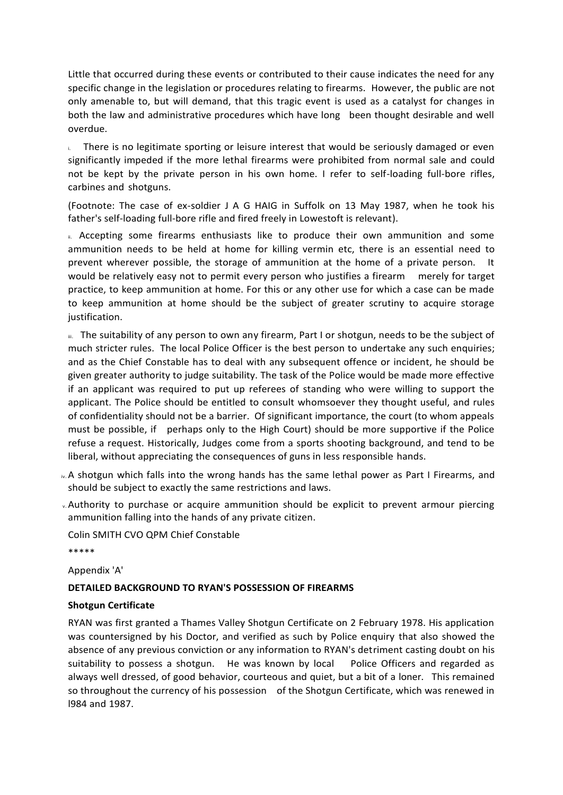Little that occurred during these events or contributed to their cause indicates the need for any specific change in the legislation or procedures relating to firearms. However, the public are not only amenable to, but will demand, that this tragic event is used as a catalyst for changes in both the law and administrative procedures which have long been thought desirable and well overdue.

**Indeed is no legitimate sporting or leisure interest that would be seriously damaged or even** significantly impeded if the more lethal firearms were prohibited from normal sale and could not be kept by the private person in his own home. I refer to self-loading full-bore rifles, carbines and shotguns.

(Footnote: The case of ex-soldier J A G HAIG in Suffolk on 13 May 1987, when he took his father's self-loading full-bore rifle and fired freely in Lowestoft is relevant).

III. Accepting some firearms enthusiasts like to produce their own ammunition and some ammunition needs to be held at home for killing vermin etc, there is an essential need to prevent wherever possible, the storage of ammunition at the home of a private person. It would be relatively easy not to permit every person who justifies a firearm merely for target practice, to keep ammunition at home. For this or any other use for which a case can be made to keep ammunition at home should be the subject of greater scrutiny to acquire storage justification.

III. The suitability of any person to own any firearm, Part I or shotgun, needs to be the subject of much stricter rules. The local Police Officer is the best person to undertake any such enquiries; and as the Chief Constable has to deal with any subsequent offence or incident, he should be given greater authority to judge suitability. The task of the Police would be made more effective if an applicant was required to put up referees of standing who were willing to support the applicant. The Police should be entitled to consult whomsoever they thought useful, and rules of confidentiality should not be a barrier. Of significant importance, the court (to whom appeals must be possible, if perhaps only to the High Court) should be more supportive if the Police refuse a request. Historically, Judges come from a sports shooting background, and tend to be liberal, without appreciating the consequences of guns in less responsible hands.

- iv.A shotgun which falls into the wrong hands has the same lethal power as Part I Firearms, and should be subject to exactly the same restrictions and laws.
- v.Authority to purchase or acquire ammunition should be explicit to prevent armour piercing ammunition falling into the hands of any private citizen.

Colin SMITH CVO QPM Chief Constable \*\*\*\*\*

Appendix 'A'

## **DETAILED BACKGROUND TO RYAN'S POSSESSION OF FIREARMS**

## **Shotgun Certificate**

RYAN was first granted a Thames Valley Shotgun Certificate on 2 February 1978. His application was countersigned by his Doctor, and verified as such by Police enquiry that also showed the absence of any previous conviction or any information to RYAN's detriment casting doubt on his suitability to possess a shotgun. He was known by local Police Officers and regarded as always well dressed, of good behavior, courteous and quiet, but a bit of a loner. This remained so throughout the currency of his possession of the Shotgun Certificate, which was renewed in l984 and 1987.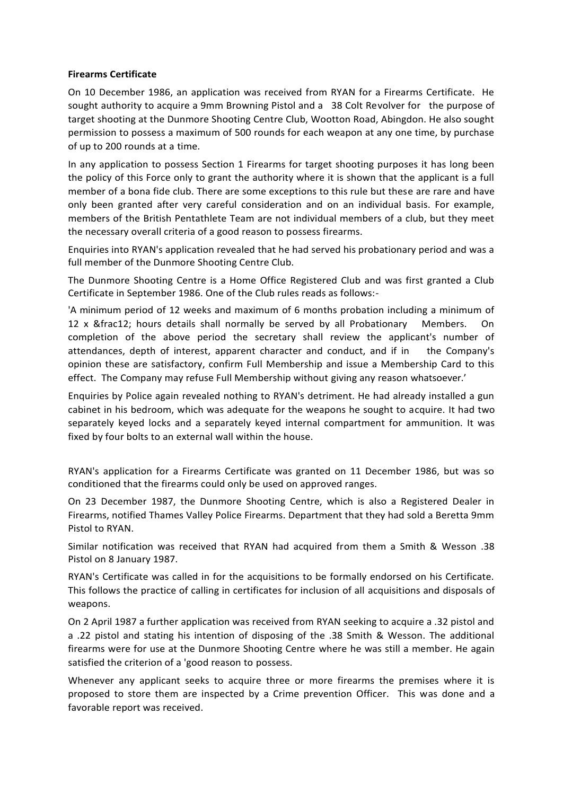## **Firearms Certificate**

On 10 December 1986, an application was received from RYAN for a Firearms Certificate. He sought authority to acquire a 9mm Browning Pistol and a 38 Colt Revolver for the purpose of target shooting at the Dunmore Shooting Centre Club, Wootton Road, Abingdon. He also sought permission to possess a maximum of 500 rounds for each weapon at any one time, by purchase of up to 200 rounds at a time.

In any application to possess Section 1 Firearms for target shooting purposes it has long been the policy of this Force only to grant the authority where it is shown that the applicant is a full member of a bona fide club. There are some exceptions to this rule but these are rare and have only been granted after very careful consideration and on an individual basis. For example, members of the British Pentathlete Team are not individual members of a club, but they meet the necessary overall criteria of a good reason to possess firearms.

Enquiries into RYAN's application revealed that he had served his probationary period and was a full member of the Dunmore Shooting Centre Club.

The Dunmore Shooting Centre is a Home Office Registered Club and was first granted a Club Certificate in September 1986. One of the Club rules reads as follows:-

'A minimum period of 12 weeks and maximum of 6 months probation including a minimum of 12 x ½ hours details shall normally be served by all Probationary Members. On completion of the above period the secretary shall review the applicant's number of attendances, depth of interest, apparent character and conduct, and if in the Company's opinion these are satisfactory, confirm Full Membership and issue a Membership Card to this effect. The Company may refuse Full Membership without giving any reason whatsoever.'

Enquiries by Police again revealed nothing to RYAN's detriment. He had already installed a gun cabinet in his bedroom, which was adequate for the weapons he sought to acquire. It had two separately keyed locks and a separately keyed internal compartment for ammunition. It was fixed by four bolts to an external wall within the house.

RYAN's application for a Firearms Certificate was granted on 11 December 1986, but was so conditioned that the firearms could only be used on approved ranges.

On 23 December 1987, the Dunmore Shooting Centre, which is also a Registered Dealer in Firearms, notified Thames Valley Police Firearms. Department that they had sold a Beretta 9mm Pistol to RYAN.

Similar notification was received that RYAN had acquired from them a Smith & Wesson .38 Pistol on 8 January 1987.

RYAN's Certificate was called in for the acquisitions to be formally endorsed on his Certificate. This follows the practice of calling in certificates for inclusion of all acquisitions and disposals of weapons.

On 2 April 1987 a further application was received from RYAN seeking to acquire a .32 pistol and a .22 pistol and stating his intention of disposing of the .38 Smith & Wesson. The additional firearms were for use at the Dunmore Shooting Centre where he was still a member. He again satisfied the criterion of a 'good reason to possess.

Whenever any applicant seeks to acquire three or more firearms the premises where it is proposed to store them are inspected by a Crime prevention Officer. This was done and a favorable report was received.